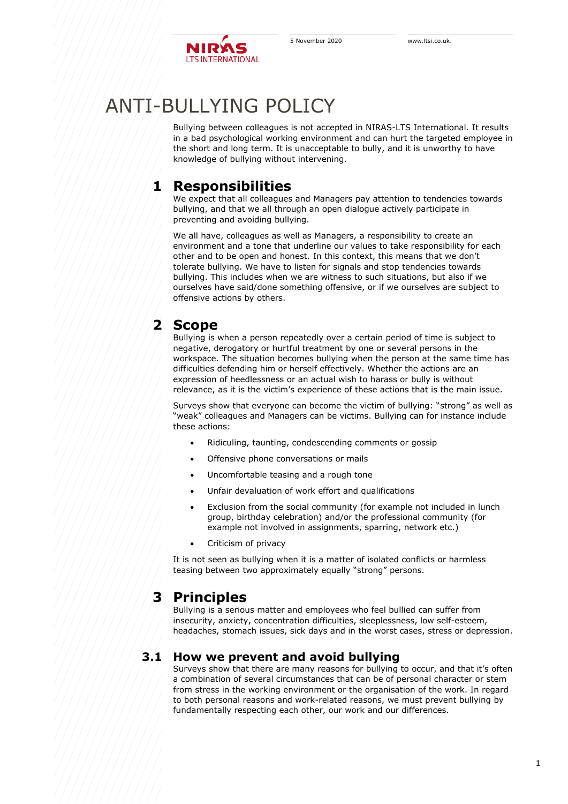

# ANTI-BULLYING POLICY

Bullying between colleagues is not accepted in NIRAS-LTS International. It results in a bad psychological working environment and can hurt the targeted employee in the short and long term. It is unacceptable to bully, and it is unworthy to have knowledge of bullying without intervening.

### **1 Responsibilities**

We expect that all colleagues and Managers pay attention to tendencies towards bullying, and that we all through an open dialogue actively participate in preventing and avoiding bullying.

We all have, colleagues as well as Managers, a responsibility to create an environment and a tone that underline our values to take responsibility for each other and to be open and honest. In this context, this means that we don't tolerate bullying. We have to listen for signals and stop tendencies towards bullying. This includes when we are witness to such situations, but also if we ourselves have said/done something offensive, or if we ourselves are subject to offensive actions by others.

## **2 Scope**

Bullying is when a person repeatedly over a certain period of time is subject to negative, derogatory or hurtful treatment by one or several persons in the workspace. The situation becomes bullying when the person at the same time has difficulties defending him or herself effectively. Whether the actions are an expression of heedlessness or an actual wish to harass or bully is without relevance, as it is the victim's experience of these actions that is the main issue.

Surveys show that everyone can become the victim of bullying: "strong" as well as "weak" colleagues and Managers can be victims. Bullying can for instance include these actions:

- Ridiculing, taunting, condescending comments or gossip
- Offensive phone conversations or mails
- Uncomfortable teasing and a rough tone
- Unfair devaluation of work effort and qualifications
- Exclusion from the social community (for example not included in lunch group, birthday celebration) and/or the professional community (for example not involved in assignments, sparring, network etc.)
- Criticism of privacy

It is not seen as bullying when it is a matter of isolated conflicts or harmless teasing between two approximately equally "strong" persons.

## **3 Principles**

Bullying is a serious matter and employees who feel bullied can suffer from insecurity, anxiety, concentration difficulties, sleeplessness, low self-esteem, headaches, stomach issues, sick days and in the worst cases, stress or depression.

#### **3.1 How we prevent and avoid bullying**

Surveys show that there are many reasons for bullying to occur, and that it's often a combination of several circumstances that can be of personal character or stem from stress in the working environment or the organisation of the work. In regard to both personal reasons and work-related reasons, we must prevent bullying by fundamentally respecting each other, our work and our differences.